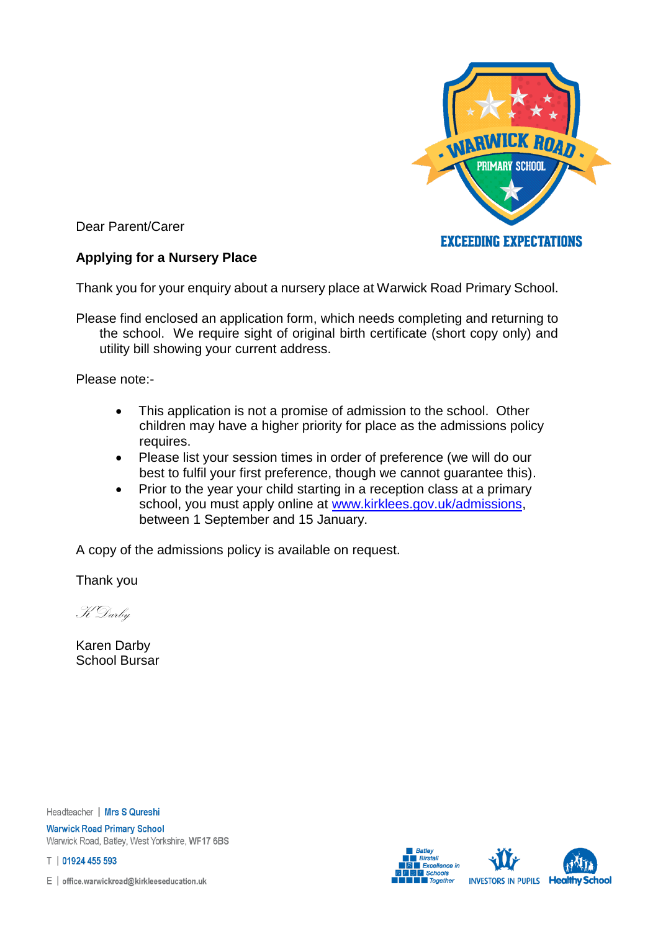

Dear Parent/Carer

#### **Applying for a Nursery Place**

Thank you for your enquiry about a nursery place at Warwick Road Primary School.

Please find enclosed an application form, which needs completing and returning to the school. We require sight of original birth certificate (short copy only) and utility bill showing your current address.

Please note:-

- This application is not a promise of admission to the school. Other children may have a higher priority for place as the admissions policy requires.
- Please list your session times in order of preference (we will do our best to fulfil your first preference, though we cannot guarantee this).
- Prior to the year your child starting in a reception class at a primary school, you must apply online at [www.kirklees.gov.uk/admissions,](http://www.kirklees.gov.uk/admissions) between 1 September and 15 January.

A copy of the admissions policy is available on request.

Thank you

K Darby

Karen Darby School Bursar

Headteacher | Mrs S Qureshi **Warwick Road Primary School** Warwick Road, Batley, West Yorkshire, WF17 6BS

↑ | 01924 455 593

E | office.warwickroad@kirkleeseducation.uk

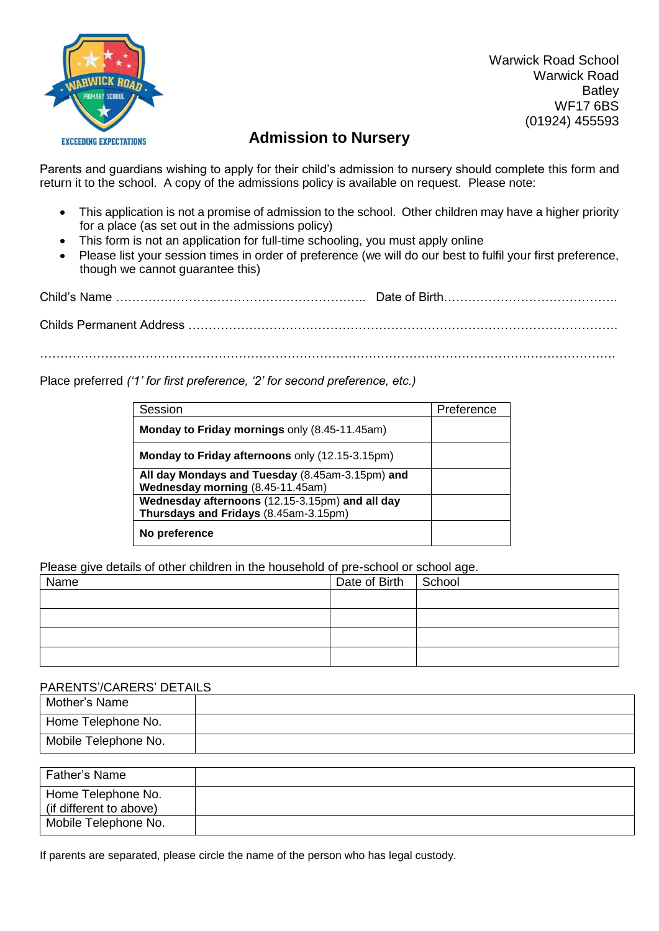

Warwick Road School Warwick Road **Batley** WF17 6BS (01924) 455593

## **Admission to Nursery**

Parents and guardians wishing to apply for their child's admission to nursery should complete this form and return it to the school. A copy of the admissions policy is available on request. Please note:

- This application is not a promise of admission to the school. Other children may have a higher priority for a place (as set out in the admissions policy)
- This form is not an application for full-time schooling, you must apply online
- Please list your session times in order of preference (we will do our best to fulfil your first preference, though we cannot guarantee this)

Child's Name …………………………………………………….. Date of Birth……………………………………. Childs Permanent Address …………………………………………………………………………………………….

. The contract of the contract of the contract of the contract of the contract of the contract of the contract of the contract of the contract of the contract of the contract of the contract of the contract of the contrac

#### Place preferred *('1' for first preference, '2' for second preference, etc.)*

| Session                                                                                  | Preference |
|------------------------------------------------------------------------------------------|------------|
| Monday to Friday mornings only (8.45-11.45am)                                            |            |
| Monday to Friday afternoons only (12.15-3.15pm)                                          |            |
| All day Mondays and Tuesday (8.45am-3.15pm) and<br>Wednesday morning (8.45-11.45am)      |            |
| Wednesday afternoons (12.15-3.15pm) and all day<br>Thursdays and Fridays (8.45am-3.15pm) |            |
| No preference                                                                            |            |

Please give details of other children in the household of pre-school or school age.

| $\overline{\phantom{a}}$ |                        |  |
|--------------------------|------------------------|--|
| Name                     | Date of Birth   School |  |
|                          |                        |  |
|                          |                        |  |
|                          |                        |  |
|                          |                        |  |
|                          |                        |  |

#### PARENTS'/CARERS' DETAILS

| Mother's Name        |  |
|----------------------|--|
| Home Telephone No.   |  |
| Mobile Telephone No. |  |

| Father's Name                                 |  |
|-----------------------------------------------|--|
| Home Telephone No.<br>(if different to above) |  |
| Mobile Telephone No.                          |  |

If parents are separated, please circle the name of the person who has legal custody.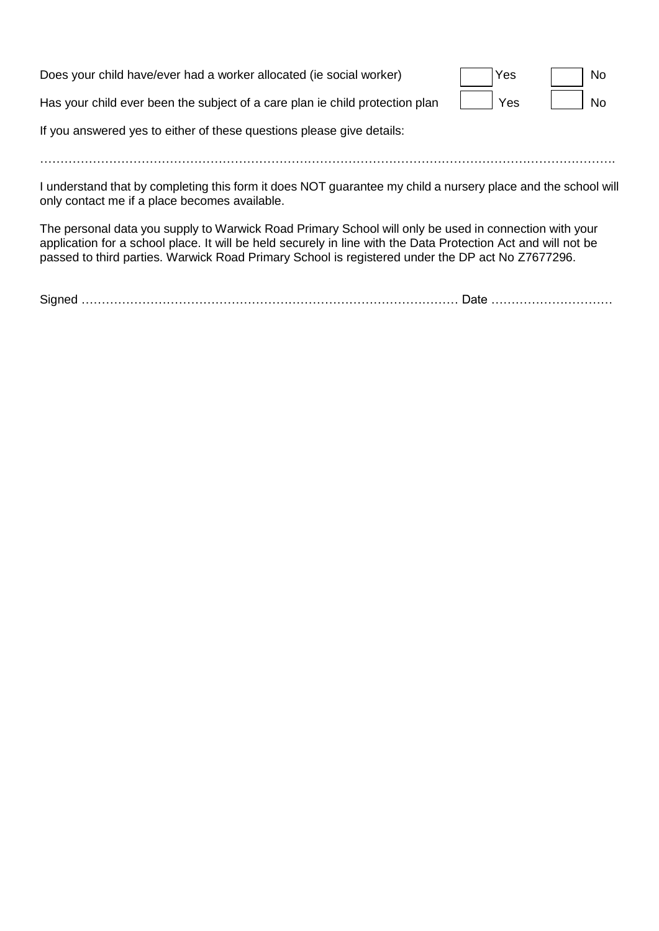| Does your child have/ever had a worker allocated (ie social worker)          | Yes | No        |
|------------------------------------------------------------------------------|-----|-----------|
| Has your child ever been the subject of a care plan ie child protection plan | Yes | <b>No</b> |
| If you answered yes to either of these questions please give details:        |     |           |

I understand that by completing this form it does NOT guarantee my child a nursery place and the school will only contact me if a place becomes available.

…………………………………………………………………………………………………………………………….

The personal data you supply to Warwick Road Primary School will only be used in connection with your application for a school place. It will be held securely in line with the Data Protection Act and will not be passed to third parties. Warwick Road Primary School is registered under the DP act No Z7677296.

|--|--|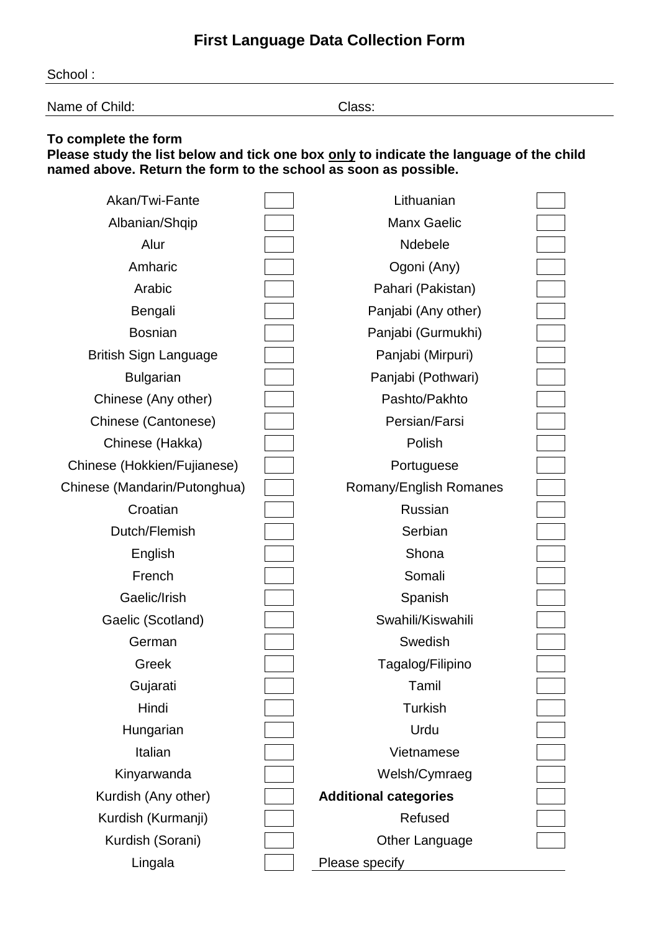# **First Language Data Collection Form**

| School:        |        |  |
|----------------|--------|--|
| Name of Child: | Class: |  |
|                |        |  |

## **To complete the form**

**Please study the list below and tick one box only to indicate the language of the child named above. Return the form to the school as soon as possible.**

| Akan/Twi-Fante               | Lithuanian                   |  |
|------------------------------|------------------------------|--|
| Albanian/Shqip               | <b>Manx Gaelic</b>           |  |
| Alur                         | Ndebele                      |  |
| Amharic                      | Ogoni (Any)                  |  |
| Arabic                       | Pahari (Pakistan)            |  |
| Bengali                      | Panjabi (Any other)          |  |
| <b>Bosnian</b>               | Panjabi (Gurmukhi)           |  |
| <b>British Sign Language</b> | Panjabi (Mirpuri)            |  |
| <b>Bulgarian</b>             | Panjabi (Pothwari)           |  |
| Chinese (Any other)          | Pashto/Pakhto                |  |
| Chinese (Cantonese)          | Persian/Farsi                |  |
| Chinese (Hakka)              | Polish                       |  |
| Chinese (Hokkien/Fujianese)  | Portuguese                   |  |
| Chinese (Mandarin/Putonghua) | Romany/English Romanes       |  |
| Croatian                     | Russian                      |  |
| Dutch/Flemish                | Serbian                      |  |
| English                      | Shona                        |  |
| French                       | Somali                       |  |
| Gaelic/Irish                 | Spanish                      |  |
| Gaelic (Scotland)            | Swahili/Kiswahili            |  |
| German                       | Swedish                      |  |
| Greek                        | Tagalog/Filipino             |  |
| Gujarati                     | Tamil                        |  |
| Hindi                        | <b>Turkish</b>               |  |
| Hungarian                    | Urdu                         |  |
| Italian                      | Vietnamese                   |  |
| Kinyarwanda                  | Welsh/Cymraeg                |  |
| Kurdish (Any other)          | <b>Additional categories</b> |  |
| Kurdish (Kurmanji)           | Refused                      |  |
| Kurdish (Sorani)             | Other Language               |  |
| Lingala                      | Please specify               |  |